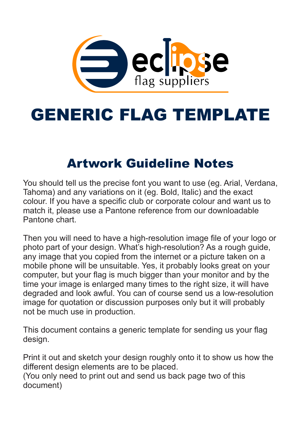

# GENERIC FLAG TEMPLATE

### Artwork Guideline Notes

You should tell us the precise font you want to use (eg. Arial, Verdana, Tahoma) and any variations on it (eg. Bold, Italic) and the exact colour. If you have a specific club or corporate colour and want us to match it, please use a Pantone reference from our downloadable Pantone chart.

Then you will need to have a high-resolution image file of your logo or photo part of your design. What's high-resolution? As a rough guide, any image that you copied from the internet or a picture taken on a mobile phone will be unsuitable. Yes, it probably looks great on your computer, but your flag is much bigger than your monitor and by the time your image is enlarged many times to the right size, it will have degraded and look awful. You can of course send us a low-resolution image for quotation or discussion purposes only but it will probably not be much use in production.

This document contains a generic template for sending us your flag design.

Print it out and sketch your design roughly onto it to show us how the different design elements are to be placed. (You only need to print out and send us back page two of this document)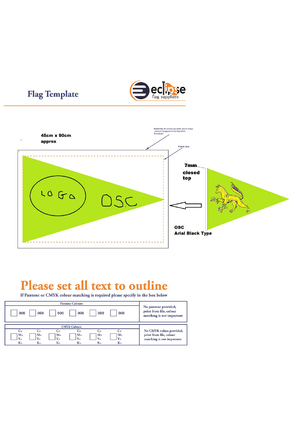



### Please set all text to outline

**Flag Template** 

If Pantone or CMYK colour matching is required please specify in the box below

| 000<br>000                                      | 000                    | 000                     | 000            | 000            | No pantone provided,<br>print from file, colour<br>matching is not important |
|-------------------------------------------------|------------------------|-------------------------|----------------|----------------|------------------------------------------------------------------------------|
|                                                 |                        |                         |                |                |                                                                              |
|                                                 |                        | <b>CMYK Colours</b>     |                |                |                                                                              |
| $C =$<br>$C =$                                  | $C =$                  | $C =$                   | $C =$          | $C =$          | No CMYK values provided,                                                     |
| $M =$<br>$M=$<br>$Y =$<br>$Y_{\equiv}$<br>$K =$ | $M =$<br>$Y =$<br>$K=$ | $M =$<br>$Y =$<br>$K =$ | $M =$<br>$V =$ | $M =$<br>$Y =$ | print from file, colour<br>matching is not important                         |